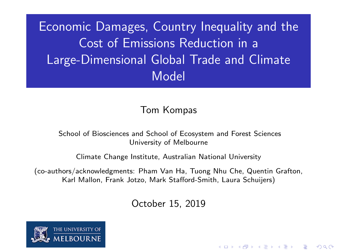Economic Damages, Country Inequality and the Cost of Emissions Reduction in a Large-Dimensional Global Trade and Climate Model

#### Tom Kompas

#### School of Biosciences and School of Ecosystem and Forest Sciences University of Melbourne

Climate Change Institute, Australian National University

(co-authors/acknowledgments: Pham Van Ha, Tuong Nhu Che, Quentin Grafton, Karl Mallon, Frank Jotzo, Mark Stafford-Smith, Laura Schuijers)

October 15, 2019

4 0 > 4 4 + 4 = + 4 = + = + + 0 4 0 +

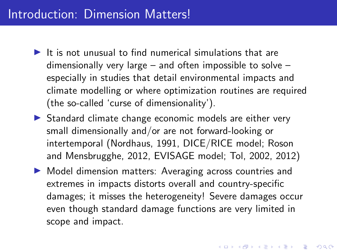#### Introduction: Dimension Matters!

- $\blacktriangleright$  It is not unusual to find numerical simulations that are dimensionally very large – and often impossible to solve – especially in studies that detail environmental impacts and climate modelling or where optimization routines are required (the so-called 'curse of dimensionality').
- $\triangleright$  Standard climate change economic models are either very small dimensionally and/or are not forward-looking or intertemporal (Nordhaus, 1991, DICE/RICE model; Roson and Mensbrugghe, 2012, EVISAGE model; Tol, 2002, 2012)
- ▶ Model dimension matters: Averaging across countries and extremes in impacts distorts overall and country-specific damages; it misses the heterogeneity! Severe damages occur even though standard damage functions are very limited in scope and impact.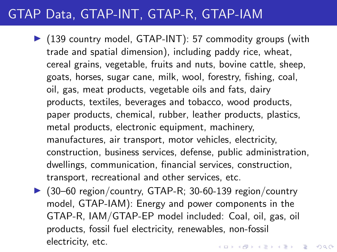# GTAP Data, GTAP-INT, GTAP-R, GTAP-IAM

- $\triangleright$  (139 country model, GTAP-INT): 57 commodity groups (with trade and spatial dimension), including paddy rice, wheat, cereal grains, vegetable, fruits and nuts, bovine cattle, sheep, goats, horses, sugar cane, milk, wool, forestry, fishing, coal, oil, gas, meat products, vegetable oils and fats, dairy products, textiles, beverages and tobacco, wood products, paper products, chemical, rubber, leather products, plastics, metal products, electronic equipment, machinery, manufactures, air transport, motor vehicles, electricity, construction, business services, defense, public administration, dwellings, communication, financial services, construction, transport, recreational and other services, etc.
- $\triangleright$  (30–60 region/country, GTAP-R; 30-60-139 region/country model, GTAP-IAM): Energy and power components in the GTAP-R, IAM/GTAP-EP model included: Coal, oil, gas, oil products, fossil fuel electricity, renewables, non-fossil electricity, etc.KID KA KERKER KID KO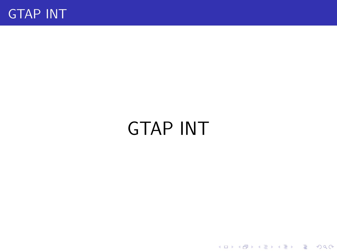

# GTAP INT

**Kロトメ部トメミトメミト ミニのQC**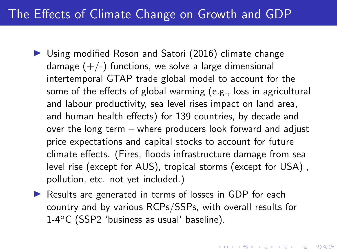# The Effects of Climate Change on Growth and GDP

- $\triangleright$  Using modified Roson and Satori (2016) climate change damage  $(+/-)$  functions, we solve a large dimensional intertemporal GTAP trade global model to account for the some of the effects of global warming (e.g., loss in agricultural and labour productivity, sea level rises impact on land area, and human health effects) for 139 countries, by decade and over the long term – where producers look forward and adjust price expectations and capital stocks to account for future climate effects. (Fires, floods infrastructure damage from sea level rise (except for AUS), tropical storms (except for USA) , pollution, etc. not yet included.)
- $\triangleright$  Results are generated in terms of losses in GDP for each country and by various RCPs/SSPs, with overall results for  $1-4\degree$ C (SSP2 'business as usual' baseline).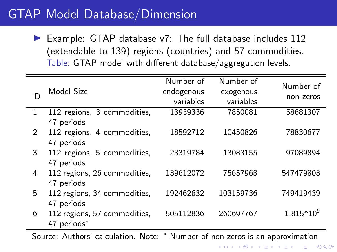# GTAP Model Database/Dimension

 $\blacktriangleright$  Example: GTAP database v7: The full database includes 112 (extendable to 139) regions (countries) and 57 commodities. Table: GTAP model with different database/aggregation levels.

| ID            | Model Size                                  | Number of<br>endogenous | Number of<br>exogenous | Number of<br>non-zeros |
|---------------|---------------------------------------------|-------------------------|------------------------|------------------------|
|               |                                             | variables               | variables              |                        |
| 1             | 112 regions, 3 commodities,<br>47 periods   | 13939336                | 7850081                | 58681307               |
| $\mathcal{P}$ | 112 regions, 4 commodities,<br>47 periods   | 18592712                | 10450826               | 78830677               |
| 3             | 112 regions, 5 commodities,<br>47 periods   | 23319784                | 13083155               | 97089894               |
| 4             | 112 regions, 26 commodities,<br>47 periods  | 139612072               | 75657968               | 547479803              |
| 5             | 112 regions, 34 commodities,<br>47 periods  | 192462632               | 103159736              | 749419439              |
| 6             | 112 regions, 57 commodities,<br>47 periods* | 505112836               | 260697767              | $1.815*10^{9}$         |

Source: Authors' calculation. Note: <sup>∗</sup> Number of non-zeros is an approximation.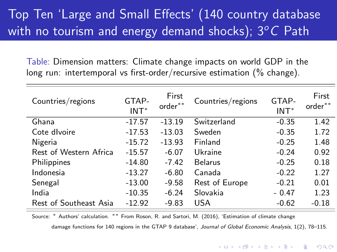# Top Ten 'Large and Small Effects' (140 country database with no tourism and energy demand shocks);  $3^{\circ}$ C Path

Table: Dimension matters: Climate change impacts on world GDP in the long run: intertemporal vs first-order/recursive estimation (% change).

| Countries/regions      | GTAP-<br>$INT*$ | First<br>order** | Countries/regions | GTAP-<br>$INT*$ | First<br>order** |
|------------------------|-----------------|------------------|-------------------|-----------------|------------------|
| Ghana                  | $-17.57$        | $-13.19$         | Switzerland       | $-0.35$         | 1.42             |
| Cote divoire           | $-17.53$        | $-13.03$         | Sweden            | $-0.35$         | 1.72             |
| Nigeria                | $-15.72$        | $-13.93$         | Finland           | $-0.25$         | 1.48             |
| Rest of Western Africa | $-15.57$        | $-6.07$          | Ukraine           | $-0.24$         | 0.92             |
| Philippines            | $-14.80$        | $-7.42$          | <b>Belarus</b>    | $-0.25$         | 0.18             |
| Indonesia              | $-13.27$        | $-6.80$          | Canada            | $-0.22$         | 1.27             |
| Senegal                | $-13.00$        | $-9.58$          | Rest of Europe    | $-0.21$         | 0.01             |
| India                  | $-10.35$        | $-6.24$          | Slovakia          | $-0.47$         | 1.23             |
| Rest of Southeast Asia | $-12.92$        | $-9.83$          | <b>USA</b>        | $-0.62$         | $-0.18$          |

Source: <sup>∗</sup> Authors' calculation. ∗∗ From Roson, R. and Sartori, M. (2016), 'Estimation of climate change damage functions for 140 regions in the GTAP 9 database', Journal of Global Economic Analysis, 1(2), 78-115.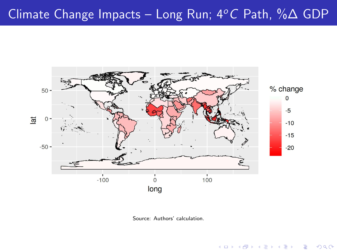# <span id="page-7-0"></span>Climate Change Impacts – Long Run;  $4^{\circ}$ C Path, % $\Delta$  GDP



Source: Authors' calculation.

 $4$  ロ )  $4$  何 )  $4$  ヨ )  $4$  コ )

÷,

 $299$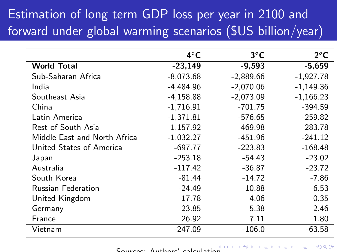# Estimation of long term GDP loss per year in 2100 and forward under global warming scenarios (\$US billion/year)

|                              | $4^{\circ}$ C | $3^{\circ}$ C | $2^{\circ}$ C |
|------------------------------|---------------|---------------|---------------|
| <b>World Total</b>           | $-23,149$     | $-9,593$      | $-5.659$      |
| Sub-Saharan Africa           | $-8,073.68$   | $-2,889.66$   | $-1,927.78$   |
| India                        | -4.484.96     | $-2.070.06$   | $-1,149.36$   |
| Southeast Asia               | $-4,158.88$   | $-2,073.09$   | $-1,166.23$   |
| China                        | $-1,716.91$   | $-701.75$     | $-394.59$     |
| Latin America                | $-1,371.81$   | $-576.65$     | $-259.82$     |
| Rest of South Asia           | $-1.157.92$   | $-469.98$     | $-283.78$     |
| Middle East and North Africa | $-1,032.27$   | $-451.96$     | $-241.12$     |
| United States of America     | $-697.77$     | $-223.83$     | $-168.48$     |
| Japan                        | $-253.18$     | $-54.43$      | $-23.02$      |
| Australia                    | $-117.42$     | $-36.87$      | $-23.72$      |
| South Korea                  | $-81.44$      | $-14.72$      | $-7.86$       |
| <b>Russian Federation</b>    | $-24.49$      | $-10.88$      | $-6.53$       |
| United Kingdom               | 17.78         | 4.06          | 0.35          |
| Germany                      | 23.85         | 5.38          | 2.46          |
| France                       | 26.92         | 7.11          | 1.80          |
| Vietnam                      | $-247.09$     | $-106.0$      | $-63.58$      |

Sources: Authors' calculati[on](#page-7-0)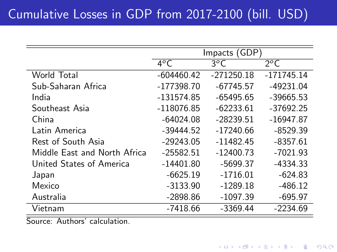|                              | Impacts (GDP) |              |               |
|------------------------------|---------------|--------------|---------------|
|                              | $4^{\circ}$ C | $3^oC$       | $2^{\circ}$ C |
| World Total                  | $-604460.42$  | $-271250.18$ | $-171745.14$  |
| Sub-Saharan Africa           | $-177398.70$  | $-67745.57$  | $-49231.04$   |
| India                        | $-131574.85$  | $-65495.65$  | $-39665.53$   |
| Southeast Asia               | $-118076.85$  | $-62233.61$  | $-37692.25$   |
| China                        | $-64024.08$   | $-28239.51$  | $-16947.87$   |
| Latin America                | $-39444.52$   | $-17240.66$  | $-8529.39$    |
| Rest of South Asia           | $-29243.05$   | $-11482.45$  | $-8357.61$    |
| Middle East and North Africa | $-25582.51$   | $-12400.73$  | $-7021.93$    |
| United States of America     | $-14401.80$   | $-5699.37$   | $-4334.33$    |
| Japan                        | $-6625.19$    | $-1716.01$   | $-624.83$     |
| Mexico                       | $-3133.90$    | $-1289.18$   | $-486.12$     |
| Australia                    | $-2898.86$    | $-1097.39$   | $-695.97$     |
| Vietnam                      | $-7418.66$    | $-3369.44$   | $-2234.69$    |

Source: Authors' calculation.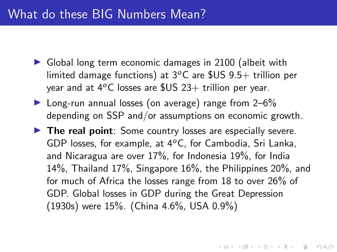#### What do these BIG Numbers Mean?

- $\triangleright$  Global long term economic damages in 2100 (albeit with limited damage functions) at  $3^{\circ}$ C are \$US 9.5+ trillion per year and at  $4^{\circ}$ C losses are  $$US 23+$  trillion per year.
- $\blacktriangleright$  Long-run annual losses (on average) range from 2–6% depending on SSP and/or assumptions on economic growth.
- $\blacktriangleright$  The real point: Some country losses are especially severe. GDP losses, for example, at  $4^{\circ}$ C, for Cambodia, Sri Lanka, and Nicaragua are over 17%, for Indonesia 19%, for India 14%, Thailand 17%, Singapore 16%, the Philippines 20%, and for much of Africa the losses range from 18 to over 26% of GDP. Global losses in GDP during the Great Depression (1930s) were 15%. (China 4.6%, USA 0.9%)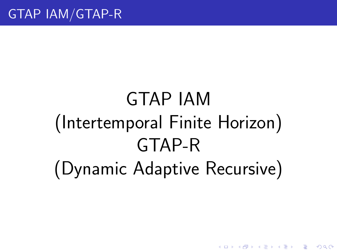# GTAP IAM (Intertemporal Finite Horizon) GTAP-R (Dynamic Adaptive Recursive)

**KORK EXTERNE PROVIDE**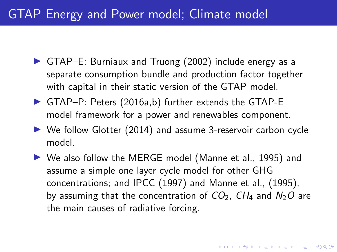# GTAP Energy and Power model; Climate model

- $\triangleright$  GTAP–E: Burniaux and Truong (2002) include energy as a separate consumption bundle and production factor together with capital in their static version of the GTAP model.
- $\triangleright$  GTAP–P: Peters (2016a,b) further extends the GTAP-E model framework for a power and renewables component.
- $\triangleright$  We follow Glotter (2014) and assume 3-reservoir carbon cycle model.
- ▶ We also follow the MERGE model (Manne et al., 1995) and assume a simple one layer cycle model for other GHG concentrations; and IPCC (1997) and Manne et al., (1995), by assuming that the concentration of  $CO<sub>2</sub>$ ,  $CH<sub>4</sub>$  and  $N<sub>2</sub>O$  are the main causes of radiative forcing.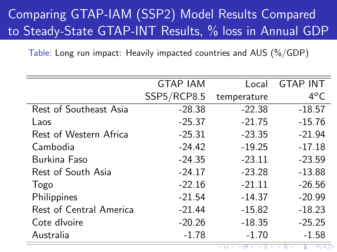# Comparing GTAP-IAM (SSP2) Model Results Compared to Steady-State GTAP-INT Results, % loss in Annual GDP

Table: Long run impact: Heavily impacted countries and AUS (%/GDP)

|                         | <b>GTAP IAM</b> | Local       | <b>GTAP INT</b> |
|-------------------------|-----------------|-------------|-----------------|
|                         | SSP5/RCP8.5     | temperature | $4^oC$          |
| Rest of Southeast Asia  | $-28.38$        | $-22.38$    | $-18.57$        |
| Laos                    | $-25.37$        | $-21.75$    | $-15.76$        |
| Rest of Western Africa  | $-25.31$        | $-23.35$    | $-21.94$        |
| Cambodia                | $-24.42$        | $-19.25$    | $-17.18$        |
| Burkina Faso            | $-24.35$        | $-23.11$    | $-23.59$        |
| Rest of South Asia      | $-24.17$        | $-23.28$    | $-13.88$        |
| Togo                    | $-22.16$        | $-21.11$    | $-26.56$        |
| Philippines             | $-21.54$        | $-14.37$    | $-20.99$        |
| Rest of Central America | $-21.44$        | $-15.82$    | $-18.23$        |
| Cote divoire            | $-20.26$        | $-18.35$    | $-25.25$        |
| Australia               | $-1.78$         | $-1.70$     | $-1.58$         |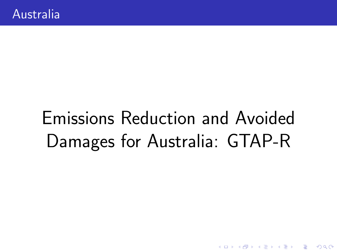# Emissions Reduction and Avoided Damages for Australia: GTAP-R

K ロ ▶ K 個 ▶ K 할 ▶ K 할 ▶ 이 할 → 9 Q Q →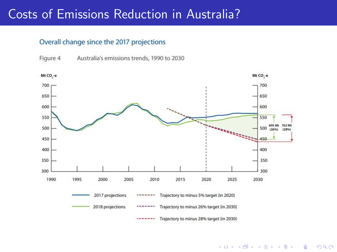### Costs of Emissions Reduction in Australia?

#### Overall change since the 2017 projections



 $\left\{ \begin{array}{ccc} 1 & 0 & 0 \\ 0 & 1 & 0 \\ 0 & 0 & 0 \\ 0 & 0 & 0 \\ 0 & 0 & 0 \\ 0 & 0 & 0 \\ 0 & 0 & 0 \\ 0 & 0 & 0 \\ 0 & 0 & 0 \\ 0 & 0 & 0 \\ 0 & 0 & 0 \\ 0 & 0 & 0 \\ 0 & 0 & 0 \\ 0 & 0 & 0 & 0 \\ 0 & 0 & 0 & 0 \\ 0 & 0 & 0 & 0 \\ 0 & 0 & 0 & 0 & 0 \\ 0 & 0 & 0 & 0 & 0 \\ 0 & 0 & 0 & 0 & 0 \\ 0 & 0 & 0 & 0$  $\Rightarrow$  $2990$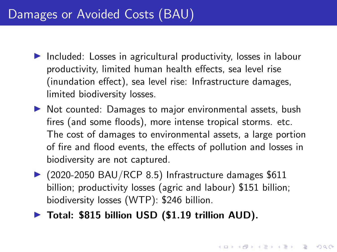### Damages or Avoided Costs (BAU)

- $\triangleright$  Included: Losses in agricultural productivity, losses in labour productivity, limited human health effects, sea level rise (inundation effect), sea level rise: Infrastructure damages, limited biodiversity losses.
- $\triangleright$  Not counted: Damages to major environmental assets, bush fires (and some floods), more intense tropical storms. etc. The cost of damages to environmental assets, a large portion of fire and flood events, the effects of pollution and losses in biodiversity are not captured.
- $\triangleright$  (2020-2050 BAU/RCP 8.5) Infrastructure damages \$611 billion; productivity losses (agric and labour) \$151 billion; biodiversity losses (WTP): \$246 billion.
- $\blacktriangleright$  Total: \$815 billion USD (\$1.19 trillion AUD).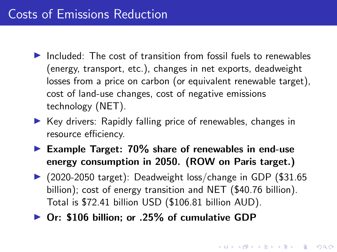### Costs of Emissions Reduction

- $\blacktriangleright$  Included: The cost of transition from fossil fuels to renewables (energy, transport, etc.), changes in net exports, deadweight losses from a price on carbon (or equivalent renewable target), cost of land-use changes, cost of negative emissions technology (NET).
- $\triangleright$  Key drivers: Rapidly falling price of renewables, changes in resource efficiency.
- Example Target:  $70\%$  share of renewables in end-use energy consumption in 2050. (ROW on Paris target.)
- $\triangleright$  (2020-2050 target): Deadweight loss/change in GDP (\$31.65) billion); cost of energy transition and NET (\$40.76 billion). Total is \$72.41 billion USD (\$106.81 billion AUD).
- ▶ Or: \$106 billion; or .25% of cumulative GDP